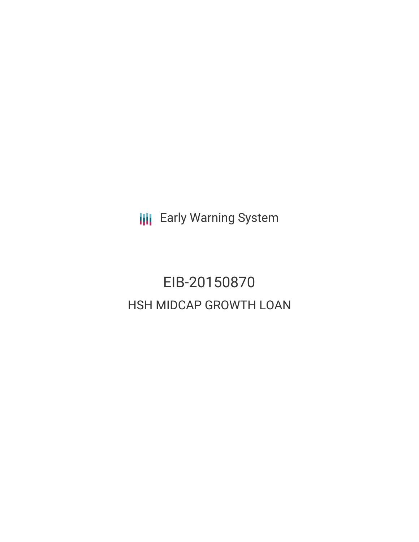**III** Early Warning System

EIB-20150870 HSH MIDCAP GROWTH LOAN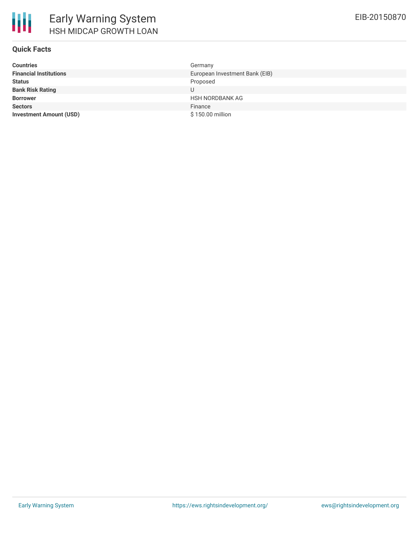

## **Quick Facts**

| <b>Countries</b>               | Germany                        |
|--------------------------------|--------------------------------|
| <b>Financial Institutions</b>  | European Investment Bank (EIB) |
| <b>Status</b>                  | Proposed                       |
| <b>Bank Risk Rating</b>        |                                |
| <b>Borrower</b>                | <b>HSH NORDBANK AG</b>         |
| <b>Sectors</b>                 | Finance                        |
| <b>Investment Amount (USD)</b> | \$150.00 million               |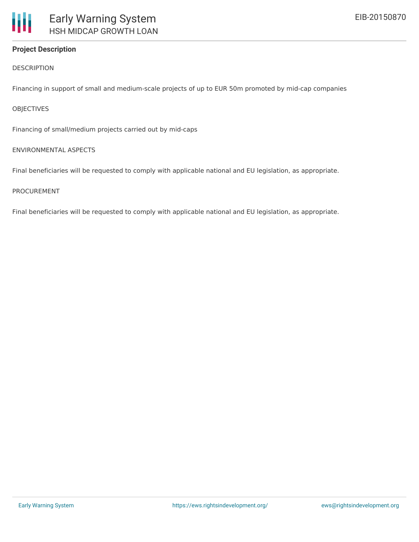# **Project Description**

DESCRIPTION

Financing in support of small and medium-scale projects of up to EUR 50m promoted by mid-cap companies

### **OBJECTIVES**

Financing of small/medium projects carried out by mid-caps

### ENVIRONMENTAL ASPECTS

Final beneficiaries will be requested to comply with applicable national and EU legislation, as appropriate.

#### PROCUREMENT

Final beneficiaries will be requested to comply with applicable national and EU legislation, as appropriate.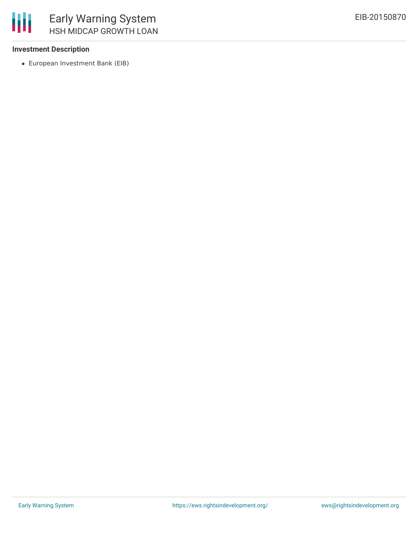

## **Investment Description**

European Investment Bank (EIB)